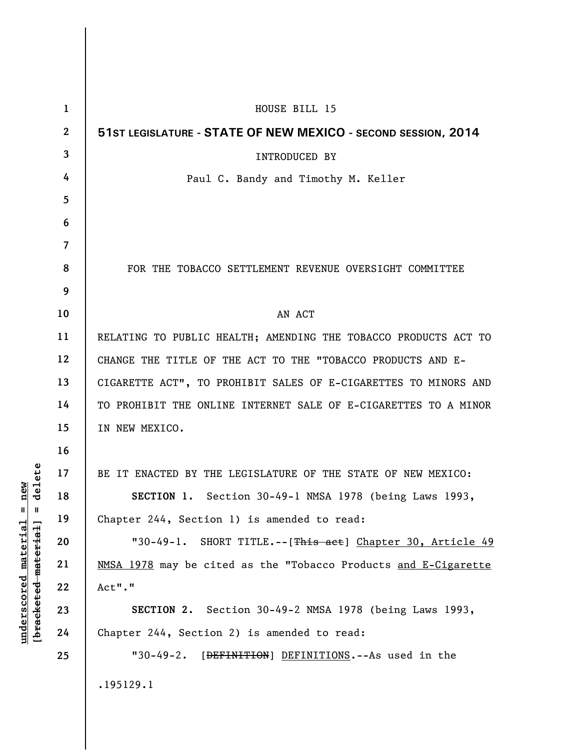| $\mathbf{1}$            | HOUSE BILL 15                                                   |
|-------------------------|-----------------------------------------------------------------|
| $\mathbf{2}$            | 51ST LEGISLATURE - STATE OF NEW MEXICO - SECOND SESSION, 2014   |
| $\overline{\mathbf{3}}$ | <b>INTRODUCED BY</b>                                            |
| 4                       | Paul C. Bandy and Timothy M. Keller                             |
| 5                       |                                                                 |
| 6                       |                                                                 |
| $\overline{7}$          |                                                                 |
| 8                       | FOR THE TOBACCO SETTLEMENT REVENUE OVERSIGHT COMMITTEE          |
| 9                       |                                                                 |
| 10                      | AN ACT                                                          |
| 11                      | RELATING TO PUBLIC HEALTH; AMENDING THE TOBACCO PRODUCTS ACT TO |
| 12                      | CHANGE THE TITLE OF THE ACT TO THE "TOBACCO PRODUCTS AND E-     |
| 13                      | CIGARETTE ACT", TO PROHIBIT SALES OF E-CIGARETTES TO MINORS AND |
| 14                      | TO PROHIBIT THE ONLINE INTERNET SALE OF E-CIGARETTES TO A MINOR |
| 15                      | IN NEW MEXICO.                                                  |
| 16                      |                                                                 |
| 17                      | BE IT ENACTED BY THE LEGISLATURE OF THE STATE OF NEW MEXICO:    |
| 18                      | SECTION 1. Section 30-49-1 NMSA 1978 (being Laws 1993,          |
| 19                      | Chapter 244, Section 1) is amended to read:                     |
| 20                      | "30-49-1. SHORT TITLE.--[This act] Chapter 30, Article 49       |
| 21                      | NMSA 1978 may be cited as the "Tobacco Products and E-Cigarette |
| 22                      | Act"."                                                          |
| 23                      | SECTION 2. Section 30-49-2 NMSA 1978 (being Laws 1993,          |
| 24                      | Chapter 244, Section 2) is amended to read:                     |
| 25                      | "30-49-2. [DEFINITION] DEFINITIONS.--As used in the             |
|                         | .195129.1                                                       |

**underscored material = new [bracketed material] = delete**

 $[bracketeed-materiat] = delete$  $underscored material = new$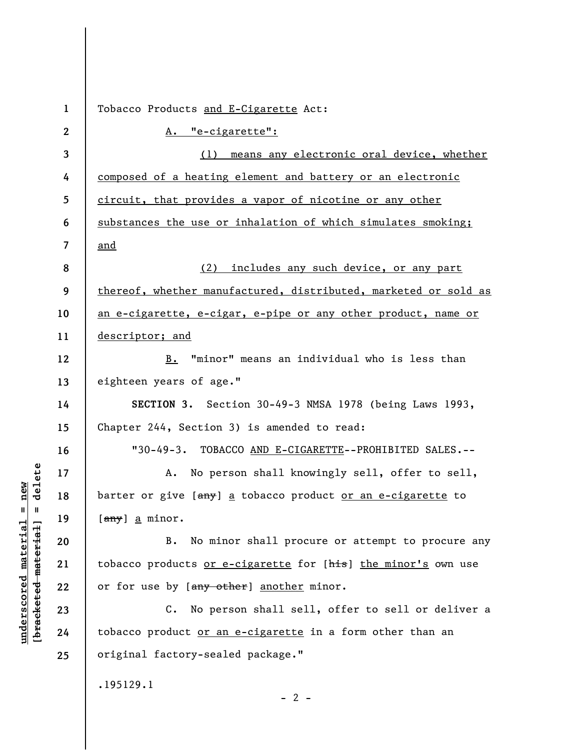| $\mathbf{1}$ | Tobacco Products and E-Cigarette Act:                             |
|--------------|-------------------------------------------------------------------|
| $\mathbf{2}$ | A. "e-cigarette":                                                 |
| 3            | (1) means any electronic oral device, whether                     |
| 4            | composed of a heating element and battery or an electronic        |
| 5            | circuit, that provides a vapor of nicotine or any other           |
| 6            | substances the use or inhalation of which simulates smoking;      |
| 7            | and                                                               |
| 8            | (2) includes any such device, or any part                         |
| 9            | thereof, whether manufactured, distributed, marketed or sold as   |
| 10           | an e-cigarette, e-cigar, e-pipe or any other product, name or     |
| 11           | descriptor; and                                                   |
| 12           | B. "minor" means an individual who is less than                   |
| 13           | eighteen years of age."                                           |
| 14           | SECTION 3. Section 30-49-3 NMSA 1978 (being Laws 1993,            |
| 15           | Chapter 244, Section 3) is amended to read:                       |
| 16           | "30-49-3. TOBACCO AND E-CIGARETTE--PROHIBITED SALES.--            |
| 17           | No person shall knowingly sell, offer to sell,<br>А.              |
| 18           | barter or give [any] a tobacco product or an e-cigarette to       |
| 19           | [ <del>any</del> ] a minor.                                       |
| 20           | No minor shall procure or attempt to procure any<br>B.            |
| 21           | tobacco products or e-cigarette for [his] the minor's own use     |
| 22           | or for use by [any other] another minor.                          |
| 23           | $C_{\bullet}$<br>No person shall sell, offer to sell or deliver a |
| 24           | tobacco product or an e-cigarette in a form other than an         |
| 25           | original factory-sealed package."                                 |
|              | .195129.1<br>$-2-$                                                |

**underscored material = new [bracketed material] = delete**

 $[bracketeed-materiat] = delete$  $underscored material = new$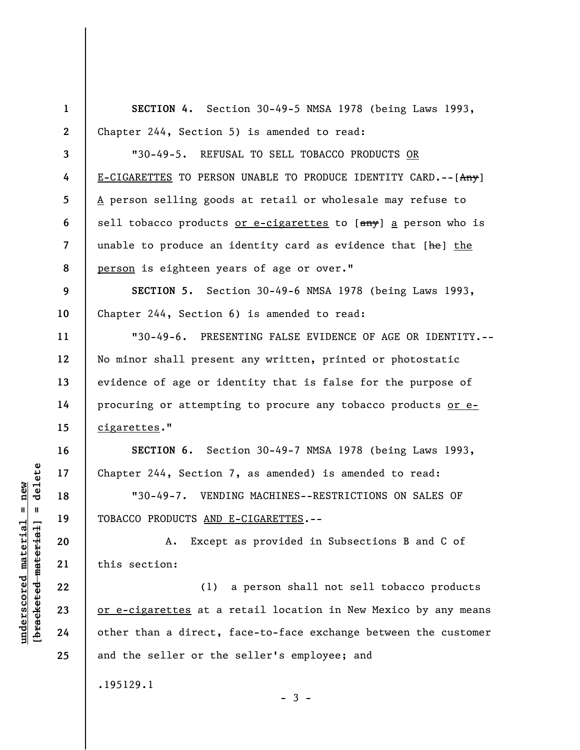**1 2 3 4 5 6 7 8 9 10 11 12 13 14 15 16 17 18 19 20 21 22 23 24 25 SECTION 4.** Section 30-49-5 NMSA 1978 (being Laws 1993, Chapter 244, Section 5) is amended to read: "30-49-5. REFUSAL TO SELL TOBACCO PRODUCTS OR E-CIGARETTES TO PERSON UNABLE TO PRODUCE IDENTITY CARD. -- [Any] A person selling goods at retail or wholesale may refuse to sell tobacco products or e-cigarettes to [any] a person who is unable to produce an identity card as evidence that [he] the person is eighteen years of age or over." **SECTION 5.** Section 30-49-6 NMSA 1978 (being Laws 1993, Chapter 244, Section 6) is amended to read: "30-49-6. PRESENTING FALSE EVIDENCE OF AGE OR IDENTITY.-- No minor shall present any written, printed or photostatic evidence of age or identity that is false for the purpose of procuring or attempting to procure any tobacco products or ecigarettes." **SECTION 6.** Section 30-49-7 NMSA 1978 (being Laws 1993, Chapter 244, Section 7, as amended) is amended to read: "30-49-7. VENDING MACHINES--RESTRICTIONS ON SALES OF TOBACCO PRODUCTS AND E-CIGARETTES.-- A. Except as provided in Subsections B and C of this section: (1) a person shall not sell tobacco products or e-cigarettes at a retail location in New Mexico by any means other than a direct, face-to-face exchange between the customer and the seller or the seller's employee; and .195129.1  $-3 -$ 

 $\frac{1}{2}$  intereted material = delete **[bracketed material] = delete**  $underscored material = new$ **underscored material = new**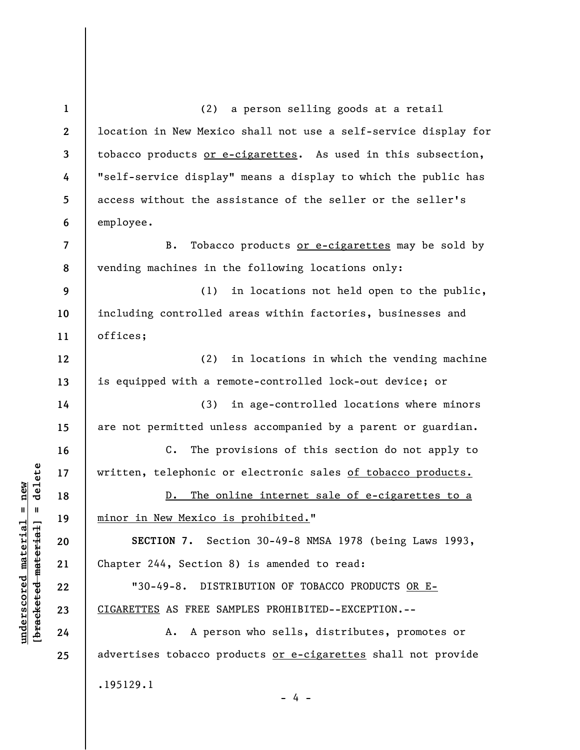**1 2 3 4 5 6 7 8 9 10 11 12 13 14 15 16 17 18 19 20 21 22 23 24 25**  (2) a person selling goods at a retail location in New Mexico shall not use a self-service display for tobacco products or e-cigarettes. As used in this subsection, "self-service display" means a display to which the public has access without the assistance of the seller or the seller's employee. B. Tobacco products or e-cigarettes may be sold by vending machines in the following locations only: (1) in locations not held open to the public, including controlled areas within factories, businesses and offices; (2) in locations in which the vending machine is equipped with a remote-controlled lock-out device; or (3) in age-controlled locations where minors are not permitted unless accompanied by a parent or guardian. C. The provisions of this section do not apply to written, telephonic or electronic sales of tobacco products. D. The online internet sale of e-cigarettes to a minor in New Mexico is prohibited." **SECTION 7.** Section 30-49-8 NMSA 1978 (being Laws 1993, Chapter 244, Section 8) is amended to read: "30-49-8. DISTRIBUTION OF TOBACCO PRODUCTS OR E-CIGARETTES AS FREE SAMPLES PROHIBITED--EXCEPTION.-- A. A person who sells, distributes, promotes or advertises tobacco products or e-cigarettes shall not provide .195129.1 - 4 -

**underscored material = new [bracketed material] = delete**

 $\frac{1}{2}$  intereted material = delete  $underscored material = new$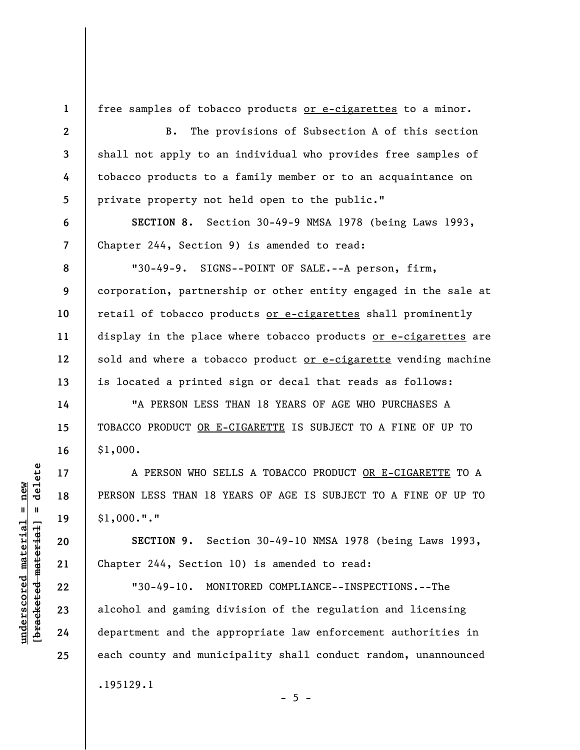**1 2** 

**3** 

**4** 

**5** 

**6** 

**7** 

**8** 

**9** 

**10** 

**11** 

**12** 

**13** 

**14** 

**15** 

**16** 

**17** 

**18** 

**19** 

**20** 

**21** 

**22** 

**23** 

**24** 

**25** 

free samples of tobacco products or e-cigarettes to a minor.

B. The provisions of Subsection A of this section shall not apply to an individual who provides free samples of tobacco products to a family member or to an acquaintance on private property not held open to the public."

**SECTION 8.** Section 30-49-9 NMSA 1978 (being Laws 1993, Chapter 244, Section 9) is amended to read:

"30-49-9. SIGNS--POINT OF SALE.--A person, firm, corporation, partnership or other entity engaged in the sale at retail of tobacco products or e-cigarettes shall prominently display in the place where tobacco products or e-cigarettes are sold and where a tobacco product or e-cigarette vending machine is located a printed sign or decal that reads as follows:

"A PERSON LESS THAN 18 YEARS OF AGE WHO PURCHASES A TOBACCO PRODUCT OR E-CIGARETTE IS SUBJECT TO A FINE OF UP TO \$1,000.

A PERSON WHO SELLS A TOBACCO PRODUCT OR E-CIGARETTE TO A PERSON LESS THAN 18 YEARS OF AGE IS SUBJECT TO A FINE OF UP TO \$1,000."."

**SECTION 9.** Section 30-49-10 NMSA 1978 (being Laws 1993, Chapter 244, Section 10) is amended to read:

"30-49-10. MONITORED COMPLIANCE--INSPECTIONS.--The alcohol and gaming division of the regulation and licensing department and the appropriate law enforcement authorities in each county and municipality shall conduct random, unannounced .195129.1

 $- 5 -$ 

 $=$  delete **[bracketed material] = delete**  $underscored material = new$ **underscored material = new** bracketed material